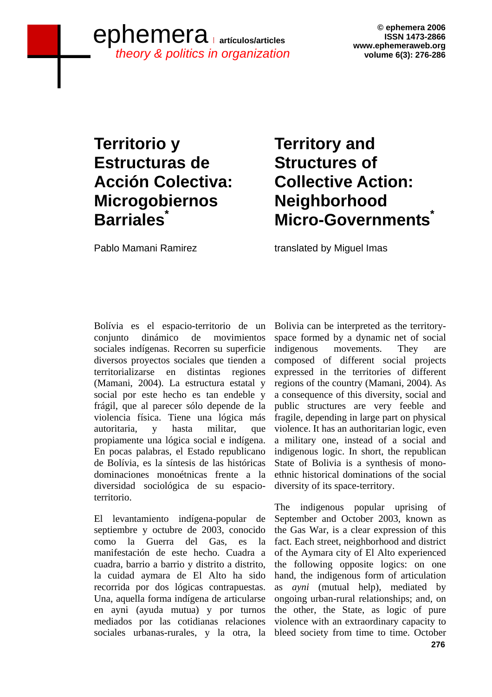## **ephemera 2006**<br> **artículos/articles**<br>
www.ephemeraweb.org www.ephemeraweb.org *theory & politics in organization*

**© ephemera 2006 ISSN 1473-2866 volume 6(3): 276-286** 

## **Territorio y Estructuras de Acción Colectiva: Microgobiernos Barriales\***

# **Territory and Structures of Collective Action: Neighborhood Micro-Governments\***

Pablo Mamani Ramirez

translated by Miguel Imas

Bolívia es el espacio-territorio de un conjunto dinámico de movimientos sociales indígenas. Recorren su superficie diversos proyectos sociales que tienden a territorializarse en distintas regiones (Mamani, 2004). La estructura estatal y social por este hecho es tan endeble y frágil, que al parecer sólo depende de la violencia física. Tiene una lógica más autoritaria, y hasta militar, que propiamente una lógica social e indígena. En pocas palabras, el Estado republicano de Bolívia, es la síntesis de las históricas dominaciones monoétnicas frente a la diversidad sociológica de su espacioterritorio.

El levantamiento indígena-popular de septiembre y octubre de 2003, conocido como la Guerra del Gas, es la manifestación de este hecho. Cuadra a cuadra, barrio a barrio y distrito a distrito, la cuidad aymara de El Alto ha sido recorrida por dos lógicas contrapuestas. Una, aquella forma indígena de articularse en ayni (ayuda mutua) y por turnos mediados por las cotidianas relaciones sociales urbanas-rurales, y la otra, la

Bolivia can be interpreted as the territoryspace formed by a dynamic net of social indigenous movements. They composed of different social projects expressed in the territories of different regions of the country (Mamani, 2004). As a consequence of this diversity, social and public structures are very feeble and fragile, depending in large part on physical violence. It has an authoritarian logic, even a military one, instead of a social and indigenous logic. In short, the republican State of Bolivia is a synthesis of monoethnic historical dominations of the social diversity of its space-territory.

 **276**  The indigenous popular uprising of September and October 2003, known as the Gas War, is a clear expression of this fact. Each street, neighborhood and district of the Aymara city of El Alto experienced the following opposite logics: on one hand, the indigenous form of articulation as *ayni* (mutual help), mediated by ongoing urban-rural relationships; and, on the other, the State, as logic of pure violence with an extraordinary capacity to bleed society from time to time. October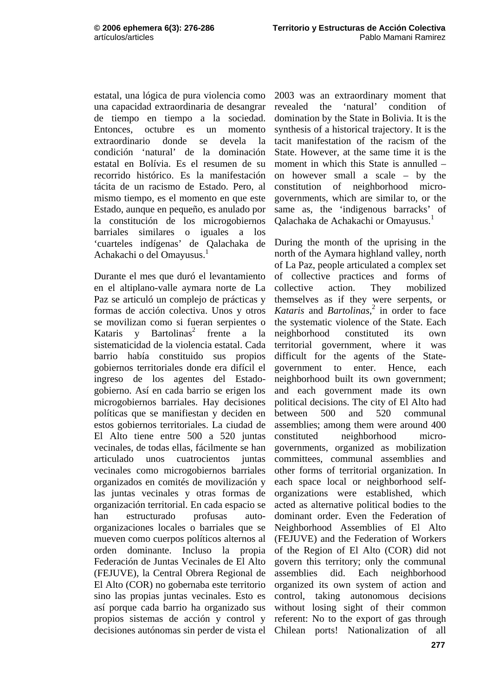estatal, una lógica de pura violencia como una capacidad extraordinaria de desangrar de tiempo en tiempo a la sociedad. Entonces, octubre es un momento extraordinario donde se devela la condición 'natural' de la dominación estatal en Bolívia. Es el resumen de su recorrido histórico. Es la manifestación tácita de un racismo de Estado. Pero, al mismo tiempo, es el momento en que este Estado, aunque en pequeño, es anulado por la constitución de los microgobiernos barriales similares o iguales a los 'cuarteles indígenas' de Qalachaka de Achakachi o del Omayusus.<sup>1</sup>

Durante el mes que duró el levantamiento en el altiplano-valle aymara norte de La Paz se articuló un complejo de prácticas y formas de acción colectiva. Unos y otros se movilizan como si fueran serpientes o Kataris y Bartolinas<sup>2</sup> frente a la sistematicidad de la violencia estatal. Cada barrio había constituido sus propios gobiernos territoriales donde era difícil el ingreso de los agentes del Estadogobierno. Así en cada barrio se erigen los microgobiernos barriales. Hay decisiones políticas que se manifiestan y deciden en estos gobiernos territoriales. La ciudad de El Alto tiene entre 500 a 520 juntas vecinales, de todas ellas, fácilmente se han articulado unos cuatrocientos juntas vecinales como microgobiernos barriales organizados en comités de movilización y las juntas vecinales y otras formas de organización territorial. En cada espacio se han estructurado profusas autoorganizaciones locales o barriales que se mueven como cuerpos políticos alternos al orden dominante. Incluso la propia Federación de Juntas Vecinales de El Alto (FEJUVE), la Central Obrera Regional de El Alto (COR) no gobernaba este territorio sino las propias juntas vecinales. Esto es así porque cada barrio ha organizado sus propios sistemas de acción y control y decisiones autónomas sin perder de vista el Chilean ports! Nationalization of all

2003 was an extraordinary moment that revealed the 'natural' condition of domination by the State in Bolivia. It is the synthesis of a historical trajectory. It is the tacit manifestation of the racism of the State. However, at the same time it is the moment in which this State is annulled – on however small a scale – by the constitution of neighborhood microgovernments, which are similar to, or the same as, the 'indigenous barracks' of Qalachaka de Achakachi or Omayusus.1

During the month of the uprising in the north of the Aymara highland valley, north of La Paz, people articulated a complex set of collective practices and forms of collective action. They mobilized themselves as if they were serpents, or *Kataris* and *Bartolinas*, 2 in order to face the systematic violence of the State. Each neighborhood constituted its own territorial government, where it was difficult for the agents of the Stategovernment to enter. Hence, each neighborhood built its own government; and each government made its own political decisions. The city of El Alto had between 500 and 520 communal assemblies; among them were around 400 constituted neighborhood microgovernments, organized as mobilization committees, communal assemblies and other forms of territorial organization. In each space local or neighborhood selforganizations were established, which acted as alternative political bodies to the dominant order. Even the Federation of Neighborhood Assemblies of El Alto (FEJUVE) and the Federation of Workers of the Region of El Alto (COR) did not govern this territory; only the communal assemblies did. Each neighborhood organized its own system of action and control, taking autonomous decisions without losing sight of their common referent: No to the export of gas through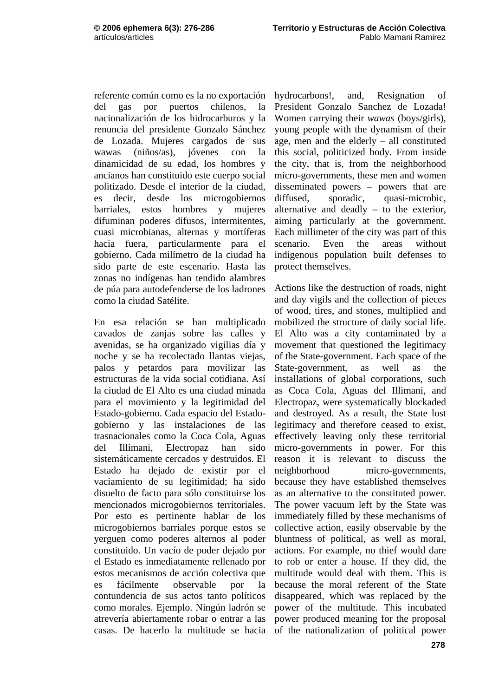referente común como es la no exportación del gas por puertos chilenos, la nacionalización de los hidrocarburos y la renuncia del presidente Gonzalo Sánchez de Lozada. Mujeres cargados de sus wawas (niños/as), jóvenes con la dinamicidad de su edad, los hombres y ancianos han constituido este cuerpo social politizado. Desde el interior de la ciudad, es decir, desde los microgobiernos barriales, estos hombres y mujeres difuminan poderes difusos, intermitentes, cuasi microbianas, alternas y mortíferas hacia fuera, particularmente para el gobierno. Cada milímetro de la ciudad ha sido parte de este escenario. Hasta las zonas no indígenas han tendido alambres de púa para autodefenderse de los ladrones como la ciudad Satélite.

En esa relación se han multiplicado cavados de zanjas sobre las calles y avenidas, se ha organizado vigilias día y noche y se ha recolectado llantas viejas, palos y petardos para movilizar las estructuras de la vida social cotidiana. Así la ciudad de El Alto es una ciudad minada para el movimiento y la legitimidad del Estado-gobierno. Cada espacio del Estadogobierno y las instalaciones de las trasnacionales como la Coca Cola, Aguas del Illimani, Electropaz han sido sistemáticamente cercados y destruidos. El Estado ha dejado de existir por el vaciamiento de su legitimidad; ha sido disuelto de facto para sólo constituirse los mencionados microgobiernos territoriales. Por esto es pertinente hablar de los microgobiernos barriales porque estos se yerguen como poderes alternos al poder constituido. Un vacío de poder dejado por el Estado es inmediatamente rellenado por estos mecanismos de acción colectiva que es fácilmente observable por la contundencia de sus actos tanto políticos como morales. Ejemplo. Ningún ladrón se atrevería abiertamente robar o entrar a las casas. De hacerlo la multitude se hacia

hydrocarbons!, and, Resignation of President Gonzalo Sanchez de Lozada! Women carrying their *wawas* (boys/girls), young people with the dynamism of their age, men and the elderly – all constituted this social, politicized body. From inside the city, that is, from the neighborhood micro-governments, these men and women disseminated powers – powers that are diffused, sporadic, quasi-microbic, alternative and deadly – to the exterior, aiming particularly at the government. Each millimeter of the city was part of this scenario. Even the areas without indigenous population built defenses to protect themselves.

Actions like the destruction of roads, night and day vigils and the collection of pieces of wood, tires, and stones, multiplied and mobilized the structure of daily social life. El Alto was a city contaminated by a movement that questioned the legitimacy of the State-government. Each space of the State-government, as well as the installations of global corporations, such as Coca Cola, Aguas del Illimani, and Electropaz, were systematically blockaded and destroyed. As a result, the State lost legitimacy and therefore ceased to exist, effectively leaving only these territorial micro-governments in power. For this reason it is relevant to discuss the neighborhood micro-governments, because they have established themselves as an alternative to the constituted power. The power vacuum left by the State was immediately filled by these mechanisms of collective action, easily observable by the bluntness of political, as well as moral, actions. For example, no thief would dare to rob or enter a house. If they did, the multitude would deal with them. This is because the moral referent of the State disappeared, which was replaced by the power of the multitude. This incubated power produced meaning for the proposal of the nationalization of political power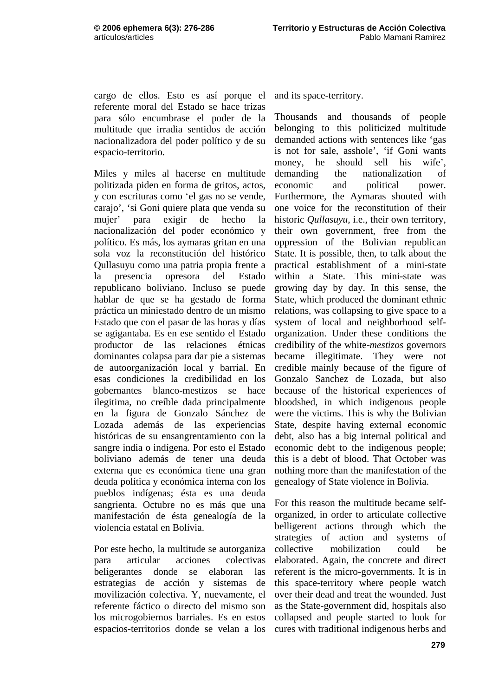cargo de ellos. Esto es así porque el referente moral del Estado se hace trizas para sólo encumbrase el poder de la multitude que irradia sentidos de acción nacionalizadora del poder político y de su espacio-territorio.

Miles y miles al hacerse en multitude politizada piden en forma de gritos, actos, y con escrituras como 'el gas no se vende, carajo', 'si Goni quiere plata que venda su mujer' para exigir de hecho la nacionalización del poder económico y político. Es más, los aymaras gritan en una sola voz la reconstitución del histórico Qullasuyu como una patria propia frente a la presencia opresora del Estado republicano boliviano. Incluso se puede hablar de que se ha gestado de forma práctica un miniestado dentro de un mismo Estado que con el pasar de las horas y días se agigantaba. Es en ese sentido el Estado productor de las relaciones étnicas dominantes colapsa para dar pie a sistemas de autoorganización local y barrial. En esas condiciones la credibilidad en los gobernantes blanco-mestizos se hace ilegitima, no creíble dada principalmente en la figura de Gonzalo Sánchez de Lozada además de las experiencias históricas de su ensangrentamiento con la sangre india o indígena. Por esto el Estado boliviano además de tener una deuda externa que es económica tiene una gran deuda política y económica interna con los pueblos indígenas; ésta es una deuda sangrienta. Octubre no es más que una manifestación de ésta genealogía de la violencia estatal en Bolívia.

Por este hecho, la multitude se autorganiza para articular acciones colectivas beligerantes donde se elaboran las estrategias de acción y sistemas de movilización colectiva. Y, nuevamente, el referente fáctico o directo del mismo son los microgobiernos barriales. Es en estos espacios-territorios donde se velan a los

and its space-territory.

Thousands and thousands of people belonging to this politicized multitude demanded actions with sentences like 'gas is not for sale, asshole', 'if Goni wants money, he should sell his wife', demanding the nationalization of economic and political power. Furthermore, the Aymaras shouted with one voice for the reconstitution of their historic *Qullasuyu,* i.e., their own territory, their own government, free from the oppression of the Bolivian republican State. It is possible, then, to talk about the practical establishment of a mini-state within a State. This mini-state was growing day by day. In this sense, the State, which produced the dominant ethnic relations, was collapsing to give space to a system of local and neighborhood selforganization. Under these conditions the credibility of the white-*mestizos* governors became illegitimate. They were not credible mainly because of the figure of Gonzalo Sanchez de Lozada, but also because of the historical experiences of bloodshed, in which indigenous people were the victims. This is why the Bolivian State, despite having external economic debt, also has a big internal political and economic debt to the indigenous people; this is a debt of blood. That October was nothing more than the manifestation of the genealogy of State violence in Bolivia.

For this reason the multitude became selforganized, in order to articulate collective belligerent actions through which the strategies of action and systems of collective mobilization could be elaborated. Again, the concrete and direct referent is the micro-governments. It is in this space-territory where people watch over their dead and treat the wounded. Just as the State-government did, hospitals also collapsed and people started to look for cures with traditional indigenous herbs and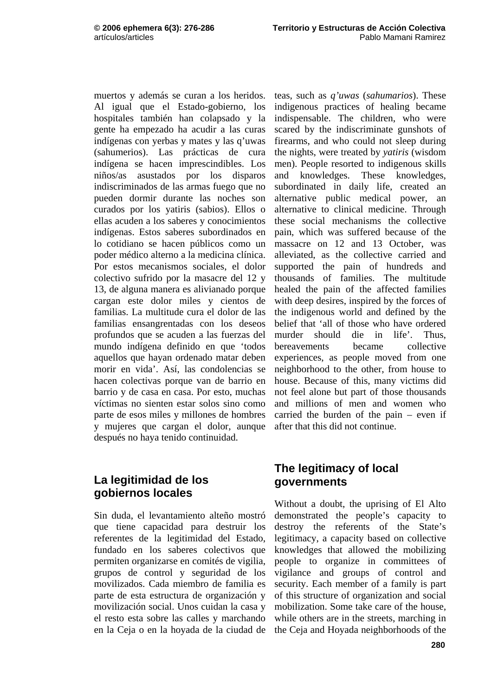muertos y además se curan a los heridos. Al igual que el Estado-gobierno, los hospitales también han colapsado y la gente ha empezado ha acudir a las curas indígenas con yerbas y mates y las q'uwas (sahumerios). Las prácticas de cura indígena se hacen imprescindibles. Los niños/as asustados por los disparos indiscriminados de las armas fuego que no pueden dormir durante las noches son curados por los yatiris (sabios). Ellos o ellas acuden a los saberes y conocimientos indígenas. Estos saberes subordinados en lo cotidiano se hacen públicos como un poder médico alterno a la medicina clínica. Por estos mecanismos sociales, el dolor colectivo sufrido por la masacre del 12 y 13, de alguna manera es alivianado porque cargan este dolor miles y cientos de familias. La multitude cura el dolor de las familias ensangrentadas con los deseos profundos que se acuden a las fuerzas del mundo indígena definido en que 'todos aquellos que hayan ordenado matar deben morir en vida'. Así, las condolencias se hacen colectivas porque van de barrio en barrio y de casa en casa. Por esto, muchas víctimas no sienten estar solos sino como parte de esos miles y millones de hombres y mujeres que cargan el dolor, aunque después no haya tenido continuidad.

#### **La legitimidad de los gobiernos locales**

Sin duda, el levantamiento alteño mostró que tiene capacidad para destruir los referentes de la legitimidad del Estado, fundado en los saberes colectivos que permiten organizarse en comités de vigilia, grupos de control y seguridad de los movilizados. Cada miembro de familia es parte de esta estructura de organización y movilización social. Unos cuidan la casa y el resto esta sobre las calles y marchando en la Ceja o en la hoyada de la ciudad de

teas, such as *q'uwas* (*sahumarios*). These indigenous practices of healing became indispensable. The children, who were scared by the indiscriminate gunshots of firearms, and who could not sleep during the nights, were treated by *yatiris* (wisdom men). People resorted to indigenous skills and knowledges. These knowledges, subordinated in daily life, created an alternative public medical power, an alternative to clinical medicine. Through these social mechanisms the collective pain, which was suffered because of the massacre on 12 and 13 October, was alleviated, as the collective carried and supported the pain of hundreds and thousands of families. The multitude healed the pain of the affected families with deep desires, inspired by the forces of the indigenous world and defined by the belief that 'all of those who have ordered murder should die in life'. Thus, bereavements became collective experiences, as people moved from one neighborhood to the other, from house to house. Because of this, many victims did not feel alone but part of those thousands and millions of men and women who carried the burden of the pain – even if after that this did not continue.

### **The legitimacy of local governments**

Without a doubt, the uprising of El Alto demonstrated the people's capacity to destroy the referents of the State's legitimacy, a capacity based on collective knowledges that allowed the mobilizing people to organize in committees of vigilance and groups of control and security. Each member of a family is part of this structure of organization and social mobilization. Some take care of the house, while others are in the streets, marching in the Ceja and Hoyada neighborhoods of the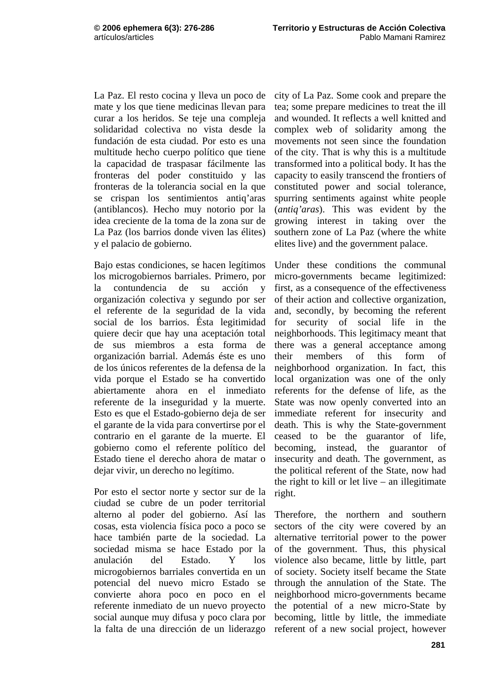La Paz. El resto cocina y lleva un poco de mate y los que tiene medicinas llevan para curar a los heridos. Se teje una compleja solidaridad colectiva no vista desde la fundación de esta ciudad. Por esto es una multitude hecho cuerpo político que tiene la capacidad de traspasar fácilmente las fronteras del poder constituido y las fronteras de la tolerancia social en la que se crispan los sentimientos antiq'aras (antiblancos). Hecho muy notorio por la idea creciente de la toma de la zona sur de La Paz (los barrios donde viven las élites) y el palacio de gobierno.

Bajo estas condiciones, se hacen legítimos los microgobiernos barriales. Primero, por la contundencia de su acción y organización colectiva y segundo por ser el referente de la seguridad de la vida social de los barrios. Ésta legitimidad quiere decir que hay una aceptación total de sus miembros a esta forma de organización barrial. Además éste es uno de los únicos referentes de la defensa de la vida porque el Estado se ha convertido abiertamente ahora en el inmediato referente de la inseguridad y la muerte. Esto es que el Estado-gobierno deja de ser el garante de la vida para convertirse por el contrario en el garante de la muerte. El gobierno como el referente político del Estado tiene el derecho ahora de matar o dejar vivir, un derecho no legítimo.

Por esto el sector norte y sector sur de la ciudad se cubre de un poder territorial alterno al poder del gobierno. Así las cosas, esta violencia física poco a poco se hace también parte de la sociedad. La sociedad misma se hace Estado por la anulación del Estado. Y los microgobiernos barriales convertida en un potencial del nuevo micro Estado se convierte ahora poco en poco en el referente inmediato de un nuevo proyecto social aunque muy difusa y poco clara por la falta de una dirección de un liderazgo

city of La Paz. Some cook and prepare the tea; some prepare medicines to treat the ill and wounded. It reflects a well knitted and complex web of solidarity among the movements not seen since the foundation of the city. That is why this is a multitude transformed into a political body. It has the capacity to easily transcend the frontiers of constituted power and social tolerance, spurring sentiments against white people (*antiq'aras*). This was evident by the growing interest in taking over the southern zone of La Paz (where the white elites live) and the government palace.

Under these conditions the communal micro-governments became legitimized: first, as a consequence of the effectiveness of their action and collective organization, and, secondly, by becoming the referent for security of social life in the neighborhoods. This legitimacy meant that there was a general acceptance among their members of this form of neighborhood organization. In fact, this local organization was one of the only referents for the defense of life, as the State was now openly converted into an immediate referent for insecurity and death. This is why the State-government ceased to be the guarantor of life, becoming, instead, the guarantor of insecurity and death. The government, as the political referent of the State, now had the right to kill or let live – an illegitimate right.

Therefore, the northern and southern sectors of the city were covered by an alternative territorial power to the power of the government. Thus, this physical violence also became, little by little, part of society. Society itself became the State through the annulation of the State. The neighborhood micro-governments became the potential of a new micro-State by becoming, little by little, the immediate referent of a new social project, however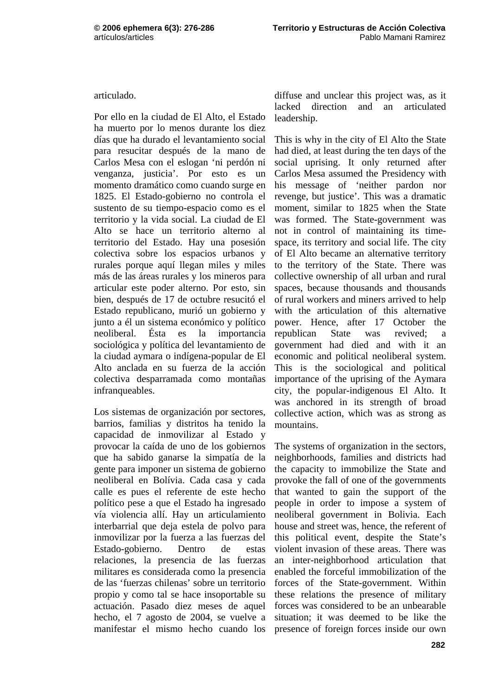articulado.

Por ello en la ciudad de El Alto, el Estado ha muerto por lo menos durante los diez días que ha durado el levantamiento social para resucitar después de la mano de Carlos Mesa con el eslogan 'ni perdón ni venganza, justicia'. Por esto es un momento dramático como cuando surge en 1825. El Estado-gobierno no controla el sustento de su tiempo-espacio como es el territorio y la vida social. La ciudad de El Alto se hace un territorio alterno al territorio del Estado. Hay una posesión colectiva sobre los espacios urbanos y rurales porque aquí llegan miles y miles más de las áreas rurales y los mineros para articular este poder alterno. Por esto, sin bien, después de 17 de octubre resucitó el Estado republicano, murió un gobierno y junto a él un sistema económico y político neoliberal. Ésta es la importancia sociológica y política del levantamiento de la ciudad aymara o indígena-popular de El Alto anclada en su fuerza de la acción colectiva desparramada como montañas infranqueables.

Los sistemas de organización por sectores, barrios, familias y distritos ha tenido la capacidad de inmovilizar al Estado y provocar la caída de uno de los gobiernos que ha sabido ganarse la simpatía de la gente para imponer un sistema de gobierno neoliberal en Bolívia. Cada casa y cada calle es pues el referente de este hecho político pese a que el Estado ha ingresado vía violencia allí. Hay un articulamiento interbarrial que deja estela de polvo para inmovilizar por la fuerza a las fuerzas del Estado-gobierno. Dentro de estas relaciones, la presencia de las fuerzas militares es considerada como la presencia de las 'fuerzas chilenas' sobre un territorio propio y como tal se hace insoportable su actuación. Pasado diez meses de aquel hecho, el 7 agosto de 2004, se vuelve a manifestar el mismo hecho cuando los

diffuse and unclear this project was, as it lacked direction and an articulated leadership.

This is why in the city of El Alto the State had died, at least during the ten days of the social uprising. It only returned after Carlos Mesa assumed the Presidency with his message of 'neither pardon nor revenge, but justice'. This was a dramatic moment, similar to 1825 when the State was formed. The State-government was not in control of maintaining its timespace, its territory and social life. The city of El Alto became an alternative territory to the territory of the State. There was collective ownership of all urban and rural spaces, because thousands and thousands of rural workers and miners arrived to help with the articulation of this alternative power. Hence, after 17 October the republican State was revived; a government had died and with it an economic and political neoliberal system. This is the sociological and political importance of the uprising of the Aymara city, the popular-indigenous El Alto. It was anchored in its strength of broad collective action, which was as strong as mountains.

The systems of organization in the sectors, neighborhoods, families and districts had the capacity to immobilize the State and provoke the fall of one of the governments that wanted to gain the support of the people in order to impose a system of neoliberal government in Bolivia. Each house and street was, hence, the referent of this political event, despite the State's violent invasion of these areas. There was an inter-neighborhood articulation that enabled the forceful immobilization of the forces of the State-government. Within these relations the presence of military forces was considered to be an unbearable situation; it was deemed to be like the presence of foreign forces inside our own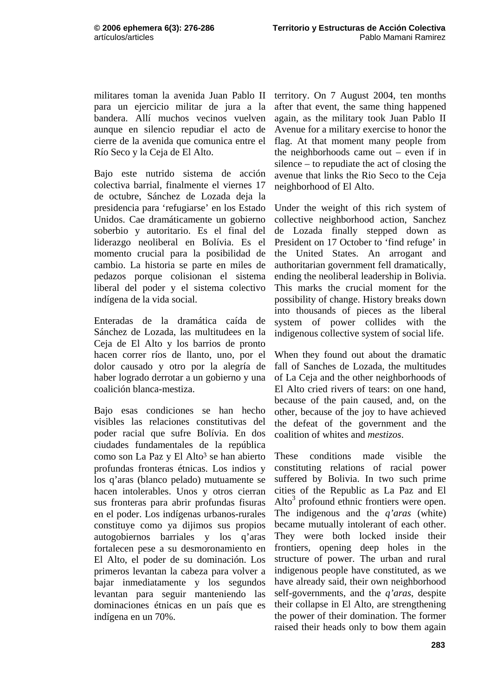militares toman la avenida Juan Pablo II para un ejercicio militar de jura a la bandera. Allí muchos vecinos vuelven aunque en silencio repudiar el acto de cierre de la avenida que comunica entre el Río Seco y la Ceja de El Alto.

Bajo este nutrido sistema de acción colectiva barrial, finalmente el viernes 17 de octubre, Sánchez de Lozada deja la presidencia para 'refugiarse' en los Estado Unidos. Cae dramáticamente un gobierno soberbio y autoritario. Es el final del liderazgo neoliberal en Bolívia. Es el momento crucial para la posibilidad de cambio. La historia se parte en miles de pedazos porque colisionan el sistema liberal del poder y el sistema colectivo indígena de la vida social.

Enteradas de la dramática caída de Sánchez de Lozada, las multitudees en la Ceja de El Alto y los barrios de pronto hacen correr ríos de llanto, uno, por el dolor causado y otro por la alegría de haber logrado derrotar a un gobierno y una coalición blanca-mestiza.

Bajo esas condiciones se han hecho visibles las relaciones constitutivas del poder racial que sufre Bolívia. En dos ciudades fundamentales de la república como son La Paz y El Alto<sup>3</sup> se han abierto profundas fronteras étnicas. Los indios y los q'aras (blanco pelado) mutuamente se hacen intolerables. Unos y otros cierran sus fronteras para abrir profundas fisuras en el poder. Los indígenas urbanos-rurales constituye como ya dijimos sus propios autogobiernos barriales y los q'aras fortalecen pese a su desmoronamiento en El Alto, el poder de su dominación. Los primeros levantan la cabeza para volver a bajar inmediatamente y los segundos levantan para seguir manteniendo las dominaciones étnicas en un país que es indígena en un 70%.

territory. On 7 August 2004, ten months after that event, the same thing happened again, as the military took Juan Pablo II Avenue for a military exercise to honor the flag. At that moment many people from the neighborhoods came out – even if in silence – to repudiate the act of closing the avenue that links the Rio Seco to the Ceja neighborhood of El Alto.

Under the weight of this rich system of collective neighborhood action, Sanchez de Lozada finally stepped down as President on 17 October to 'find refuge' in the United States. An arrogant and authoritarian government fell dramatically, ending the neoliberal leadership in Bolivia. This marks the crucial moment for the possibility of change. History breaks down into thousands of pieces as the liberal system of power collides with the indigenous collective system of social life.

When they found out about the dramatic fall of Sanches de Lozada, the multitudes of La Ceja and the other neighborhoods of El Alto cried rivers of tears: on one hand, because of the pain caused, and, on the other, because of the joy to have achieved the defeat of the government and the coalition of whites and *mestizos*.

These conditions made visible the constituting relations of racial power suffered by Bolivia. In two such prime cities of the Republic as La Paz and El  $Alto<sup>3</sup>$  profound ethnic frontiers were open. The indigenous and the *q'aras* (white) became mutually intolerant of each other. They were both locked inside their frontiers, opening deep holes in the structure of power. The urban and rural indigenous people have constituted, as we have already said, their own neighborhood self-governments, and the *q'aras*, despite their collapse in El Alto, are strengthening the power of their domination. The former raised their heads only to bow them again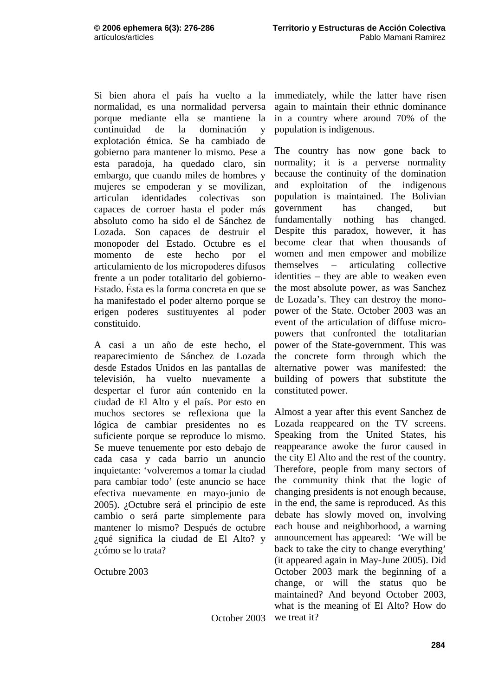Si bien ahora el país ha vuelto a la normalidad, es una normalidad perversa porque mediante ella se mantiene la continuidad de la dominación y explotación étnica. Se ha cambiado de gobierno para mantener lo mismo. Pese a esta paradoja, ha quedado claro, sin embargo, que cuando miles de hombres y mujeres se empoderan y se movilizan, articulan identidades colectivas son capaces de corroer hasta el poder más absoluto como ha sido el de Sánchez de Lozada. Son capaces de destruir el monopoder del Estado. Octubre es el momento de este hecho por el articulamiento de los micropoderes difusos frente a un poder totalitario del gobierno-Estado. Ésta es la forma concreta en que se ha manifestado el poder alterno porque se erigen poderes sustituyentes al poder constituido.

A casi a un año de este hecho, el reaparecimiento de Sánchez de Lozada desde Estados Unidos en las pantallas de televisión, ha vuelto nuevamente a despertar el furor aún contenido en la ciudad de El Alto y el país. Por esto en muchos sectores se reflexiona que la lógica de cambiar presidentes no es suficiente porque se reproduce lo mismo. Se mueve tenuemente por esto debajo de cada casa y cada barrio un anuncio inquietante: 'volveremos a tomar la ciudad para cambiar todo' (este anuncio se hace efectiva nuevamente en mayo-junio de 2005). ¿Octubre será el principio de este cambio o será parte simplemente para mantener lo mismo? Después de octubre ¿qué significa la ciudad de El Alto? y ¿cómo se lo trata?

Octubre 2003

immediately, while the latter have risen again to maintain their ethnic dominance in a country where around 70% of the population is indigenous.

The country has now gone back to normality; it is a perverse normality because the continuity of the domination and exploitation of the indigenous population is maintained. The Bolivian government has changed, but fundamentally nothing has changed. Despite this paradox, however, it has become clear that when thousands of women and men empower and mobilize themselves – articulating collective identities – they are able to weaken even the most absolute power, as was Sanchez de Lozada's. They can destroy the monopower of the State. October 2003 was an event of the articulation of diffuse micropowers that confronted the totalitarian power of the State-government. This was the concrete form through which the alternative power was manifested: the building of powers that substitute the constituted power.

Almost a year after this event Sanchez de Lozada reappeared on the TV screens. Speaking from the United States, his reappearance awoke the furor caused in the city El Alto and the rest of the country. Therefore, people from many sectors of the community think that the logic of changing presidents is not enough because, in the end, the same is reproduced. As this debate has slowly moved on, involving each house and neighborhood, a warning announcement has appeared: 'We will be back to take the city to change everything' (it appeared again in May-June 2005). Did October 2003 mark the beginning of a change, or will the status quo be maintained? And beyond October 2003, what is the meaning of El Alto? How do we treat it?

October 2003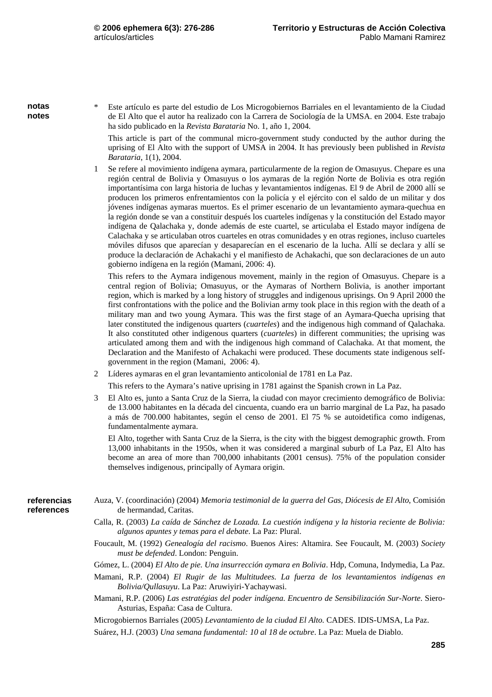**notas notes**  \* Este artículo es parte del estudio de Los Microgobiernos Barriales en el levantamiento de la Ciudad de El Alto que el autor ha realizado con la Carrera de Sociología de la UMSA. en 2004. Este trabajo ha sido publicado en la *Revista Barataria* No. 1, año 1, 2004.

 This article is part of the communal micro-government study conducted by the author during the uprising of El Alto with the support of UMSA in 2004. It has previously been published in *Revista Barataria*, 1(1), 2004.

1 Se refere al movimiento indígena aymara, particularmente de la region de Omasuyus. Chepare es una región central de Bolivia y Omasuyus o los aymaras de la región Norte de Bolivia es otra región importantísima con larga historia de luchas y levantamientos indígenas. El 9 de Abril de 2000 allí se producen los primeros enfrentamientos con la policía y el ejército con el saldo de un militar y dos jóvenes indígenas aymaras muertos. Es el primer escenario de un levantamiento aymara-quechua en la región donde se van a constituir después los cuarteles indígenas y la constitución del Estado mayor indígena de Qalachaka y, donde además de este cuartel, se articulaba el Estado mayor indígena de Calachaka y se articulaban otros cuarteles en otras comunidades y en otras regiones, incluso cuarteles móviles difusos que aparecían y desaparecían en el escenario de la lucha. Allí se declara y allí se produce la declaración de Achakachi y el manifiesto de Achakachi, que son declaraciones de un auto gobierno indígena en la región (Mamani, 2006: 4).

 This refers to the Aymara indigenous movement, mainly in the region of Omasuyus. Chepare is a central region of Bolivia; Omasuyus, or the Aymaras of Northern Bolivia, is another important region, which is marked by a long history of struggles and indigenous uprisings. On 9 April 2000 the first confrontations with the police and the Bolivian army took place in this region with the death of a military man and two young Aymara. This was the first stage of an Aymara-Quecha uprising that later constituted the indigenous quarters (*cuarteles*) and the indigenous high command of Qalachaka. It also constituted other indigenous quarters (*cuarteles*) in different communities; the uprising was articulated among them and with the indigenous high command of Calachaka. At that moment, the Declaration and the Manifesto of Achakachi were produced. These documents state indigenous selfgovernment in the region (Mamani, 2006: 4).

2 Líderes aymaras en el gran levantamiento anticolonial de 1781 en La Paz.

This refers to the Aymara's native uprising in 1781 against the Spanish crown in La Paz.

3 El Alto es, junto a Santa Cruz de la Sierra, la ciudad con mayor crecimiento demográfico de Bolivia: de 13.000 habitantes en la década del cincuenta, cuando era un barrio marginal de La Paz, ha pasado a más de 700.000 habitantes, según el censo de 2001. El 75 % se autoidetifica como indígenas, fundamentalmente aymara.

 El Alto, together with Santa Cruz de la Sierra, is the city with the biggest demographic growth. From 13,000 inhabitants in the 1950s, when it was considered a marginal suburb of La Paz, El Alto has become an area of more than 700,000 inhabitants (2001 census). 75% of the population consider themselves indigenous, principally of Aymara origin.

- Auza, V. (coordinación) (2004) *Memoria testimonial de la guerra del Gas, Diócesis de El Alto*, Comisión de hermandad, Caritas. **referencias references** 
	- Calla, R. (2003) *La caída de Sánchez de Lozada. La cuestión indígena y la historia reciente de Bolivia: algunos apuntes y temas para el debate*. La Paz: Plural.
	- Foucault, M. (1992) *Genealogía del racismo*. Buenos Aires: Altamira. See Foucault, M. (2003) *Society must be defended*. London: Penguin.
	- Gómez, L. (2004) *El Alto de pie. Una insurrección aymara en Bolivia*. Hdp, Comuna, Indymedia, La Paz.
	- Mamani, R.P. (2004) *El Rugir de las Multitudees. La fuerza de los levantamientos indígenas en Bolivia/Qullasuyu*. La Paz: Aruwiyiri-Yachaywasi.
	- Mamani, R.P. (2006) *Las estratégias del poder indígena. Encuentro de Sensibilización Sur-Norte*. Siero-Asturias, España: Casa de Cultura.

Microgobiernos Barriales (2005) *Levantamiento de la ciudad El Alto.* CADES. IDIS-UMSA, La Paz.

Suárez, H.J. (2003) *Una semana fundamental: 10 al 18 de octubre*. La Paz: Muela de Diablo.